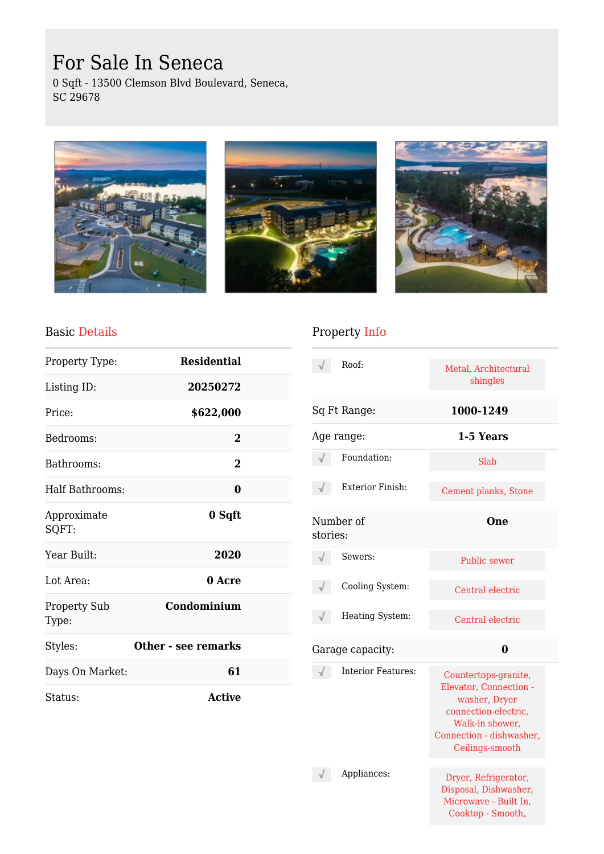# For Sale In Seneca

0 Sqft - 13500 Clemson Blvd Boulevard, Seneca, SC 29678







#### Basic Details

| Property Type:               | <b>Residential</b>  |  |
|------------------------------|---------------------|--|
| Listing ID:                  | 20250272            |  |
| Price:                       | \$622,000           |  |
| Bedrooms:                    | $\overline{2}$      |  |
| Bathrooms:                   | 2                   |  |
| Half Bathrooms:              | 0                   |  |
| Approximate<br>SQFT:         | 0 Sqft              |  |
| Year Built:                  | 2020                |  |
| Lot Area:                    | 0 Acre              |  |
| <b>Property Sub</b><br>Type: | Condominium         |  |
| Styles:                      | Other - see remarks |  |
| Days On Market:              | 61                  |  |
| Status:                      | <b>Active</b>       |  |

## Property Info

|                       | Roof:                     | Metal, Architectural<br>shingles                                                                                                                          |
|-----------------------|---------------------------|-----------------------------------------------------------------------------------------------------------------------------------------------------------|
|                       | Sq Ft Range:              | 1000-1249                                                                                                                                                 |
| Age range:            |                           | 1-5 Years                                                                                                                                                 |
|                       | Foundation:               | Slab                                                                                                                                                      |
|                       | <b>Exterior Finish:</b>   | Cement planks, Stone                                                                                                                                      |
| Number of<br>stories: |                           | One                                                                                                                                                       |
|                       | Sewers:                   | <b>Public sewer</b>                                                                                                                                       |
|                       | Cooling System:           | Central electric                                                                                                                                          |
|                       | Heating System:           | Central electric                                                                                                                                          |
|                       | Garage capacity:          | 0                                                                                                                                                         |
|                       | <b>Interior Features:</b> | Countertops-granite,<br>Elevator, Connection -<br>washer, Dryer<br>connection-electric,<br>Walk-in shower,<br>Connection - dishwasher,<br>Ceilings-smooth |
|                       | Appliances:               | Dryer, Refrigerator,<br>Disposal, Dishwasher,<br>Microwave - Built In,<br>Cooktop - Smooth,                                                               |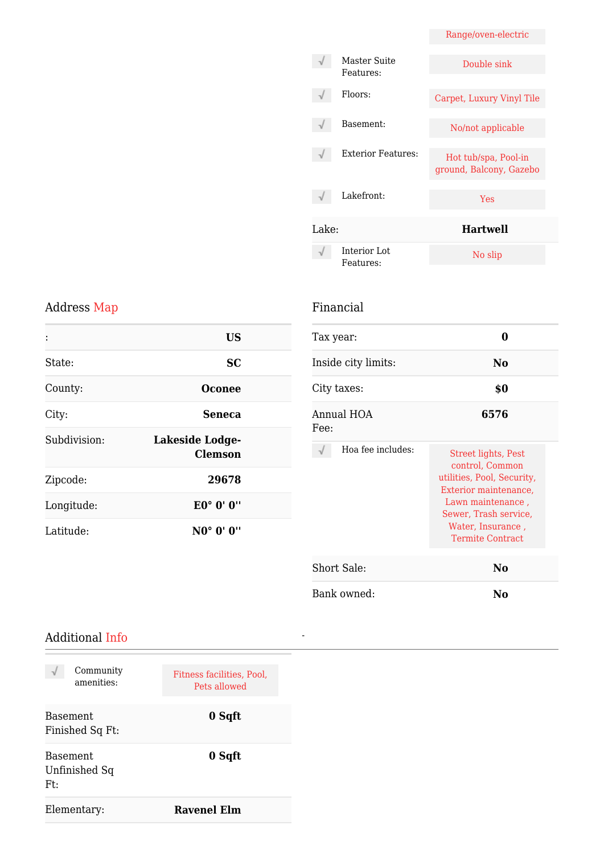|       |                           | Range/oven-electric                             |
|-------|---------------------------|-------------------------------------------------|
|       | Master Suite<br>Features: | Double sink                                     |
|       | Floors:                   | Carpet, Luxury Vinyl Tile                       |
|       | Basement:                 | No/not applicable                               |
|       | <b>Exterior Features:</b> | Hot tub/spa, Pool-in<br>ground, Balcony, Gazebo |
|       | Lakefront:                | <b>Yes</b>                                      |
| Lake: |                           | Hartwell                                        |
|       | Interior Lot<br>Features: | No slip                                         |

## Address Map

|              | <b>US</b>                         |
|--------------|-----------------------------------|
| State:       | <b>SC</b>                         |
| County:      | Oconee                            |
| City:        | <b>Seneca</b>                     |
| Subdivision: | Lakeside Lodge-<br><b>Clemson</b> |
| Zipcode:     | 29678                             |
| Longitude:   | E0° 0' 0"                         |
| Latitude:    | NO° 0' 0"                         |

### Financial

*-*

| Tax year:           |                                                                                                                                                                                                    |
|---------------------|----------------------------------------------------------------------------------------------------------------------------------------------------------------------------------------------------|
| Inside city limits: | No                                                                                                                                                                                                 |
| City taxes:         | \$0                                                                                                                                                                                                |
| Annual HOA<br>Fee:  | 6576                                                                                                                                                                                               |
| Hoa fee includes:   | <b>Street lights, Pest</b><br>control, Common<br>utilities, Pool, Security,<br>Exterior maintenance,<br>Lawn maintenance,<br>Sewer, Trash service,<br>Water, Insurance,<br><b>Termite Contract</b> |
| Short Sale:         | No                                                                                                                                                                                                 |
| Bank owned:         | No                                                                                                                                                                                                 |

#### Additional Info

| Community<br>amenities:                 | Fitness facilities, Pool,<br>Pets allowed |
|-----------------------------------------|-------------------------------------------|
| Basement.<br>Finished Sq Ft:            | 0 Sqft                                    |
| <b>Basement</b><br>Unfinished Sq<br>Ft: | 0 Sqft                                    |
| Elementary:                             | <b>Ravenel Elm</b>                        |